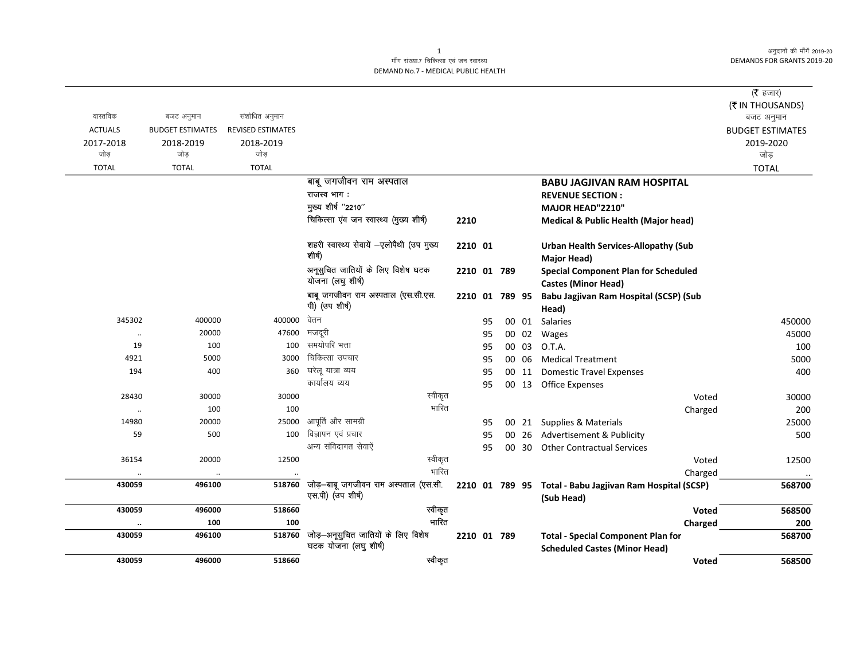अनुदानों की माँगें 2019-20 **DEMANDS FOR GRANTS 2019-20** 

## माँग संख्या.7 चिकित्सा एवं जन स्वास्थ्य DEMAND No.7 - MEDICAL PUBLIC HEALTH

|                |                         |                          |                                                             |             |    |                |       |                                                                                   | ( $\bar{\tau}$ हजार)    |
|----------------|-------------------------|--------------------------|-------------------------------------------------------------|-------------|----|----------------|-------|-----------------------------------------------------------------------------------|-------------------------|
|                |                         |                          |                                                             |             |    |                |       |                                                                                   | (₹ IN THOUSANDS)        |
| वास्तविक       | बजट अनुमान              | संशोधित अनुमान           |                                                             |             |    |                |       |                                                                                   | बजट अनुमान              |
| <b>ACTUALS</b> | <b>BUDGET ESTIMATES</b> | <b>REVISED ESTIMATES</b> |                                                             |             |    |                |       |                                                                                   | <b>BUDGET ESTIMATES</b> |
| 2017-2018      | 2018-2019               | 2018-2019                |                                                             |             |    |                |       |                                                                                   | 2019-2020               |
| जोड            | जोड                     | जोड़                     |                                                             |             |    |                |       |                                                                                   | जोड़                    |
| <b>TOTAL</b>   | <b>TOTAL</b>            | <b>TOTAL</b>             |                                                             |             |    |                |       |                                                                                   | <b>TOTAL</b>            |
|                |                         |                          | बाबू जगजीवन राम अस्पताल                                     |             |    |                |       | <b>BABU JAGJIVAN RAM HOSPITAL</b>                                                 |                         |
|                |                         |                          | राजस्व भाग:                                                 |             |    |                |       | <b>REVENUE SECTION:</b>                                                           |                         |
|                |                         |                          | मुख्य शीर्ष "2210"                                          |             |    |                |       | MAJOR HEAD"2210"                                                                  |                         |
|                |                         |                          | चिकित्सा एंव जन स्वास्थ्य (मुख्य शीर्ष)                     | 2210        |    |                |       | <b>Medical &amp; Public Health (Major head)</b>                                   |                         |
|                |                         |                          | शहरी स्वास्थ्य सेवायें —एलोपैथी (उप मुख्य<br>शीर्ष)         | 2210 01     |    |                |       | <b>Urban Health Services-Allopathy (Sub</b><br><b>Major Head)</b>                 |                         |
|                |                         |                          | अनूसुचित जातियों के लिए विशेष घटक<br>योजना (लघु शीर्ष)      | 2210 01 789 |    |                |       | <b>Special Component Plan for Scheduled</b>                                       |                         |
|                |                         |                          | बाबू जगजीवन राम अस्पताल (एस.सी.एस.                          |             |    |                |       | <b>Castes (Minor Head)</b>                                                        |                         |
|                |                         |                          | पी) (उप शीर्ष)                                              |             |    | 2210 01 789 95 |       | Babu Jagjivan Ram Hospital (SCSP) (Sub<br>Head)                                   |                         |
| 345302         | 400000                  | 400000                   | वेतन                                                        |             | 95 |                |       | 00 01 Salaries                                                                    | 450000                  |
| $\ldots$       | 20000                   | 47600                    | मजदूरी                                                      |             | 95 |                | 00 02 | Wages                                                                             | 45000                   |
| 19             | 100                     | 100                      | समयोपरि भत्ता                                               |             | 95 |                | 00 03 | O.T.A.                                                                            | 100                     |
| 4921           | 5000                    | 3000                     | चिकित्सा उपचार                                              |             | 95 |                | 00 06 | <b>Medical Treatment</b>                                                          | 5000                    |
| 194            | 400                     | 360                      | घरेलू यात्रा व्यय                                           |             | 95 |                | 00 11 | <b>Domestic Travel Expenses</b>                                                   | 400                     |
|                |                         |                          | कार्यालय व्यय                                               |             | 95 |                | 00 13 | <b>Office Expenses</b>                                                            |                         |
| 28430          | 30000                   | 30000                    | स्वीकृत                                                     |             |    |                |       | Voted                                                                             | 30000                   |
| $\ldots$       | 100                     | 100                      | भारित                                                       |             |    |                |       | Charged                                                                           | 200                     |
| 14980          | 20000                   | 25000                    | आपूर्ति और सामग्री                                          |             | 95 |                | 00 21 | <b>Supplies &amp; Materials</b>                                                   | 25000                   |
| 59             | 500                     | 100                      | विज्ञापन एवं प्रचार                                         |             | 95 | 00             | 26    | Advertisement & Publicity                                                         | 500                     |
|                |                         |                          | अन्य संविदागत सेवाऐं                                        |             | 95 |                | 00 30 | <b>Other Contractual Services</b>                                                 |                         |
| 36154          | 20000                   | 12500                    | स्वीकृत                                                     |             |    |                |       | Voted                                                                             | 12500                   |
|                | $\ldots$                |                          | भारित                                                       |             |    |                |       | Charged                                                                           |                         |
| 430059         | 496100                  | 518760                   | जोड़-बाबू जगजीवन राम अस्पताल (एस.सी.<br>एस.पी) (उप शीर्ष)   |             |    |                |       | 2210 01 789 95 Total - Babu Jagjivan Ram Hospital (SCSP)<br>(Sub Head)            | 568700                  |
| 430059         | 496000                  | 518660                   | स्वीकृत                                                     |             |    |                |       | <b>Voted</b>                                                                      | 568500                  |
|                | 100                     | 100                      | भारित                                                       |             |    |                |       | Charged                                                                           | 200                     |
| 430059         | 496100                  | 518760                   | जोड़-अनूसुचित जातियों के लिए विशेष<br>घटक योजना (लघु शीर्ष) | 2210 01 789 |    |                |       | <b>Total - Special Component Plan for</b><br><b>Scheduled Castes (Minor Head)</b> | 568700                  |
| 430059         | 496000                  | 518660                   | स्वीकृत                                                     |             |    |                |       | Voted                                                                             | 568500                  |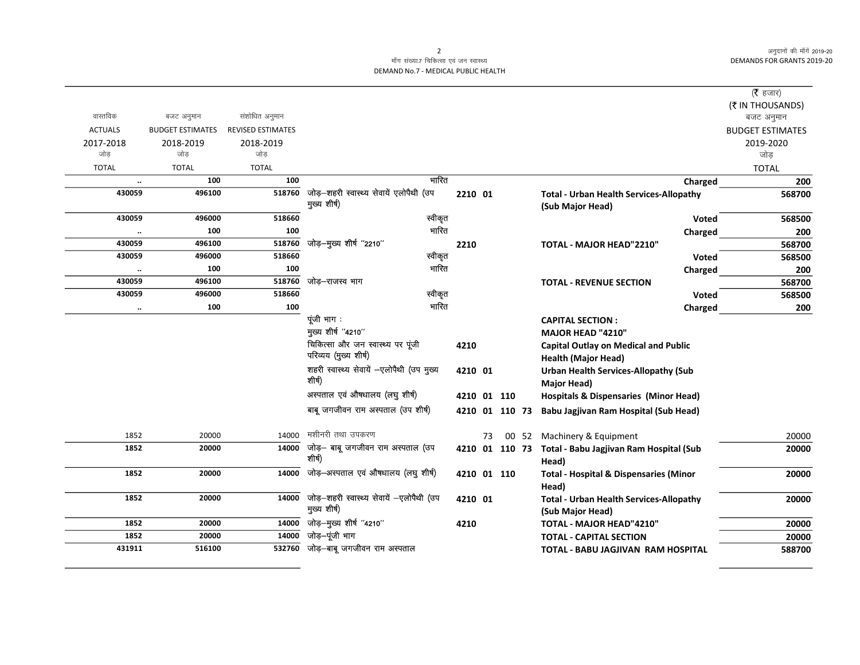अनुदानों की माँगें 2019-20 DEMANDS FOR GRANTS 2019-20

## माँग संख्या.7 चिकित्सा एवं जन स्वास्थ्य DEMAND No.7 - MEDICAL PUBLIC HEALTH

|                |                         |                          |                                                            |         |    |                |                                                                           | ( $\bar{\tau}$ हजार)    |
|----------------|-------------------------|--------------------------|------------------------------------------------------------|---------|----|----------------|---------------------------------------------------------------------------|-------------------------|
|                |                         |                          |                                                            |         |    |                |                                                                           | (₹ IN THOUSANDS)        |
| वास्तविक       | बजट अनुमान              | संशोधित अनुमान           |                                                            |         |    |                |                                                                           | बजट अनुमान              |
| <b>ACTUALS</b> | <b>BUDGET ESTIMATES</b> | <b>REVISED ESTIMATES</b> |                                                            |         |    |                |                                                                           | <b>BUDGET ESTIMATES</b> |
| 2017-2018      | 2018-2019               | 2018-2019                |                                                            |         |    |                |                                                                           | 2019-2020               |
| जोड            | जोड                     | जोड                      |                                                            |         |    |                |                                                                           | जोड                     |
| <b>TOTAL</b>   | <b>TOTAL</b>            | <b>TOTAL</b>             |                                                            |         |    |                |                                                                           | <b>TOTAL</b>            |
| $\ddotsc$      | 100                     | 100                      | भारित                                                      |         |    |                | Charged                                                                   | 200                     |
| 430059         | 496100                  | 518760                   | जोड़-शहरी स्वास्थ्य सेवायें एलोपैथी (उप<br>मुख्य शीर्ष)    | 2210 01 |    |                | <b>Total - Urban Health Services-Allopathy</b><br>(Sub Major Head)        | 568700                  |
| 430059         | 496000                  | 518660                   | स्वीकृत                                                    |         |    |                | <b>Voted</b>                                                              | 568500                  |
| $\cdot\cdot$   | 100                     | 100                      | भारित                                                      |         |    |                | Charged                                                                   | 200                     |
| 430059         | 496100                  | 518760                   | जोड़-मुख्य शीर्ष "2210"                                    | 2210    |    |                | TOTAL - MAJOR HEAD"2210"                                                  | 568700                  |
| 430059         | 496000                  | 518660                   | स्वीकृत                                                    |         |    |                | <b>Voted</b>                                                              | 568500                  |
| $\cdot\cdot$   | 100                     | 100                      | भारित                                                      |         |    |                | Charged                                                                   | 200                     |
| 430059         | 496100                  | 518760                   | जोड–राजस्व भाग                                             |         |    |                | <b>TOTAL - REVENUE SECTION</b>                                            | 568700                  |
| 430059         | 496000                  | 518660                   | स्वीकृत                                                    |         |    |                | Voted                                                                     | 568500                  |
| $\cdot\cdot$   | 100                     | 100                      | भारित                                                      |         |    |                | Charged                                                                   | 200                     |
|                |                         |                          | पूंजी भाग:                                                 |         |    |                | <b>CAPITAL SECTION:</b>                                                   |                         |
|                |                         |                          | मुख्य शीर्ष "4210"                                         |         |    |                | MAJOR HEAD "4210"                                                         |                         |
|                |                         |                          | चिकित्सा और जन स्वास्थ्य पर पूंजी<br>परिव्यय (मुख्य शीर्ष) | 4210    |    |                | <b>Capital Outlay on Medical and Public</b><br><b>Health (Major Head)</b> |                         |
|                |                         |                          | शहरी स्वास्थ्य सेवायें -एलोपैथी (उप मुख्य<br>शीर्ष)        | 4210 01 |    |                | <b>Urban Health Services-Allopathy (Sub</b><br>Major Head)                |                         |
|                |                         |                          | अस्पताल एवं औषधालय (लघु शीर्ष)                             |         |    | 4210 01 110    | <b>Hospitals &amp; Dispensaries (Minor Head)</b>                          |                         |
|                |                         |                          | बाबू जगजीवन राम अस्पताल (उप शीर्ष)                         |         |    | 4210 01 110 73 | Babu Jagjivan Ram Hospital (Sub Head)                                     |                         |
| 1852           | 20000                   | 14000                    | मशीनरी तथा उपकरण                                           |         | 73 |                | 00 52 Machinery & Equipment                                               | 20000                   |
| 1852           | 20000                   | 14000                    | जोड़- बाबू जगजीवन राम अस्पताल (उप<br>शीर्ष)                |         |    |                | 4210 01 110 73 Total - Babu Jagjivan Ram Hospital (Sub<br>Head)           | 20000                   |
| 1852           | 20000                   | 14000                    | जोड़-अस्पताल एवं औषधालय (लघु शीर्ष)                        |         |    | 4210 01 110    | <b>Total - Hospital &amp; Dispensaries (Minor</b><br>Head)                | 20000                   |
| 1852           | 20000                   | 14000                    | जोड़-शहरी स्वास्थ्य सेवायें -एलोपैथी (उप<br>मुख्य शीर्ष)   | 4210 01 |    |                | <b>Total - Urban Health Services-Allopathy</b><br>(Sub Major Head)        | 20000                   |
| 1852           | 20000                   | 14000                    | जोड़-मुख्य शीर्ष "4210"                                    | 4210    |    |                | TOTAL - MAJOR HEAD"4210"                                                  | 20000                   |
| 1852           | 20000                   | 14000                    | जोड़–पूंजी भाग                                             |         |    |                | <b>TOTAL - CAPITAL SECTION</b>                                            | 20000                   |
| 431911         | 516100                  |                          | 532760 जोड़-बाबू जगजीवन राम अस्पताल                        |         |    |                | TOTAL - BABU JAGJIVAN RAM HOSPITAL                                        | 588700                  |
|                |                         |                          |                                                            |         |    |                |                                                                           |                         |

2